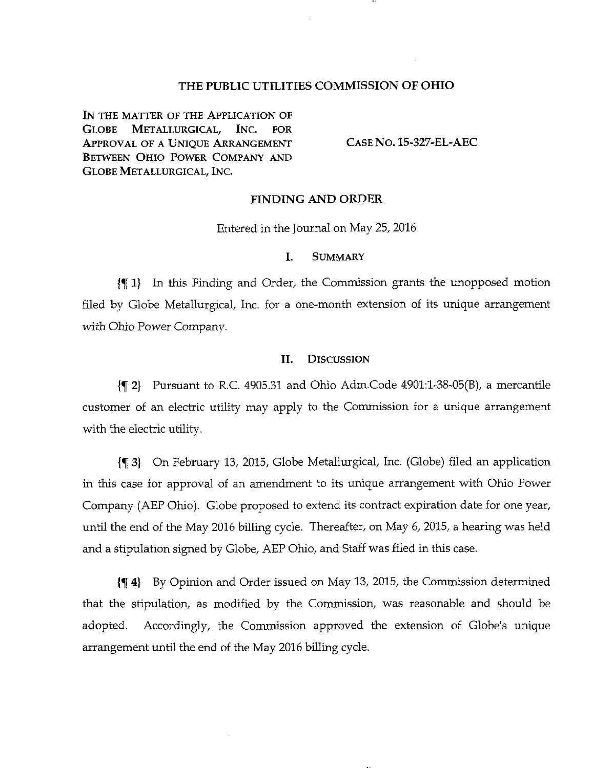# THE PUBLIC UTILITIES COMMISSION OF OHIO

IN THE MATTER OF THE APPLICATION OF GLOBE METALLURGICAL, INC. FOR APPROVAL OF A UNIQUE ARRANGEMENT CASE NO. 15-327-EL-AEC BETWEEN OHIO POWER COMPANY AND GLOBE METALLURGICAL, INC.

## FINDING AND ORDER

Entered in the Journal on May 25, 2016

#### I. SUMMARY

jf 1} In this Finding and Order, the Commission grants the unopposed motion filed by Globe Metallurgical, Inc. for a one-month extension of its unique arrangement with Ohio Power Company.

#### II. DISCUSSION

 ${q_2}$  Pursuant to R.C. 4905.31 and Ohio Adm.Code 4901:1-38-05(B), a mercantile customer of an electric utility may apply to the Commission for a unique arrangement with the electric utility.

{% 3) On February 13, 2015, Globe Metallurgical, Inc. (Globe) filed an application in this case for approval of an amendment to its unique arrangement with Ohio Power Company (AEP Ohio). Globe proposed to extend its contract expiration date for one year, until the end of the May 2016 billing cycle. Thereafter, on May 6, 2015, a hearing was held and a stipulation signed by Globe, AEP Ohio, and Staff was filed in this case.

{^ 4} By Opinion and Order issued on May 13, 2015, the Commission determined that the stipulation, as modified by the Commission, was reasonable and should be adopted. Accordingly, the Commission approved the extension of Globe's unique arrangement until the end of the May 2016 billing cycle.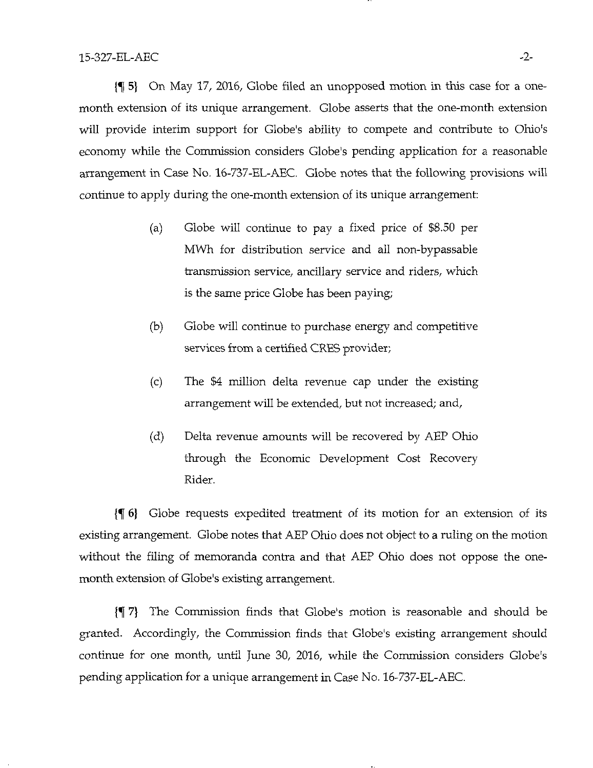$\{\P\}$  On May 17, 2016, Globe filed an unopposed motion in this case for a onemonth extension of its unique arrangement. Globe asserts that the one-month extension will provide interim support for Globe's ability to compete and contribute to Ohio's economy while the Commission considers Globe's pending application for a reasonable arrangement in Case No. 16-737-EL-AEC, Globe notes that the following provisions will continue to apply during the one-month extension of its unique arrangement:

- (a) Globe will continue to pay a fixed price of \$8.50 per MWh for distribution service and all non-bypassable transmission service, ancillary service and riders, which is the same price Globe has been paying;
- (b) Globe will continue to purchase energy and competitive services from a certified CRES provider;
- (c) The \$4 million delta revenue cap under the existing arrangement will be extended, but not increased; and,
- (d) Delta revenue amounts will be recovered by AEP Ohio through the Economic Development Cost Recovery Rider.

 $\{\P 6\}$  Globe requests expedited treatment of its motion for an extension of its existing arrangement. Globe notes that AEP Ohio does not object to a ruling on the motion without the filing of memoranda contra and that AEP Ohio does not oppose the onemonth extension of Globe's existing arrangement.

{^ 7) The Conmiission finds that Globe's motion is reasonable and should be granted. Accordingly, the Commission finds that Globe's existing arrangement should continue for one month, until June 30, 2016, while the Commission considers Globe's pending application for a unique arrangement in Case No. 16-737-EL-AEC.